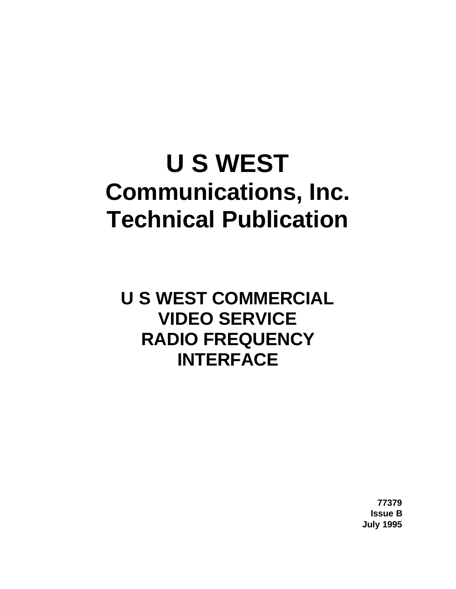# **U S WEST Communications, Inc. Technical Publication**

**U S WEST COMMERCIAL VIDEO SERVICE RADIO FREQUENCY INTERFACE**

> **77379 Issue B July 1995**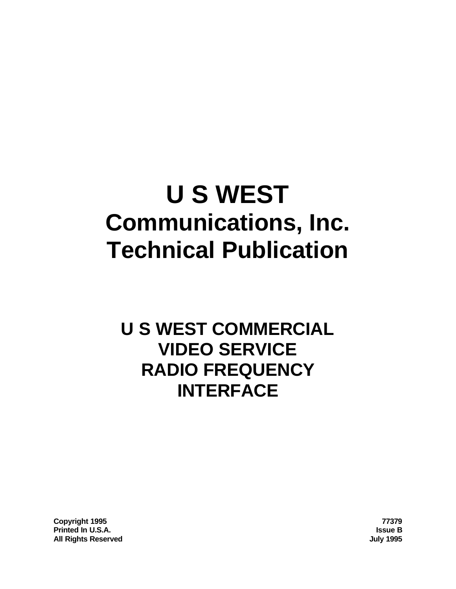# **U S WEST Communications, Inc. Technical Publication**

# **U S WEST COMMERCIAL VIDEO SERVICE RADIO FREQUENCY INTERFACE**

**Copyright 1995 77379 Printed In U.S.A. Issue B All Rights Reserved July 1995**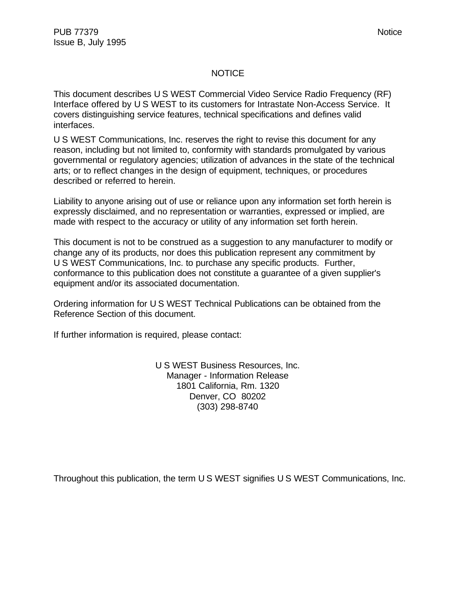#### **NOTICE**

This document describes U S WEST Commercial Video Service Radio Frequency (RF) Interface offered by U S WEST to its customers for Intrastate Non-Access Service. It covers distinguishing service features, technical specifications and defines valid interfaces.

U S WEST Communications, Inc. reserves the right to revise this document for any reason, including but not limited to, conformity with standards promulgated by various governmental or regulatory agencies; utilization of advances in the state of the technical arts; or to reflect changes in the design of equipment, techniques, or procedures described or referred to herein.

Liability to anyone arising out of use or reliance upon any information set forth herein is expressly disclaimed, and no representation or warranties, expressed or implied, are made with respect to the accuracy or utility of any information set forth herein.

This document is not to be construed as a suggestion to any manufacturer to modify or change any of its products, nor does this publication represent any commitment by U S WEST Communications, Inc. to purchase any specific products. Further, conformance to this publication does not constitute a guarantee of a given supplier's equipment and/or its associated documentation.

Ordering information for U S WEST Technical Publications can be obtained from the Reference Section of this document.

If further information is required, please contact:

U S WEST Business Resources, Inc. Manager - Information Release 1801 California, Rm. 1320 Denver, CO 80202 (303) 298-8740

Throughout this publication, the term U S WEST signifies U S WEST Communications, Inc.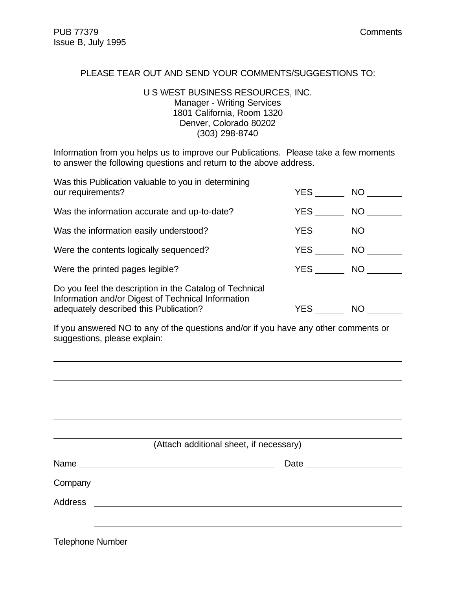l

#### PLEASE TEAR OUT AND SEND YOUR COMMENTS/SUGGESTIONS TO:

#### U S WEST BUSINESS RESOURCES, INC. Manager - Writing Services 1801 California, Room 1320 Denver, Colorado 80202 (303) 298-8740

Information from you helps us to improve our Publications. Please take a few moments to answer the following questions and return to the above address.

| Was this Publication valuable to you in determining<br>our requirements?                                                                                | <b>YES</b> | NO <sub>1</sub> |
|---------------------------------------------------------------------------------------------------------------------------------------------------------|------------|-----------------|
| Was the information accurate and up-to-date?                                                                                                            | <b>YES</b> | NO <sub>1</sub> |
| Was the information easily understood?                                                                                                                  | <b>YES</b> | NO D            |
| Were the contents logically sequenced?                                                                                                                  | YES        | NO.             |
| Were the printed pages legible?                                                                                                                         | <b>YES</b> | NO              |
| Do you feel the description in the Catalog of Technical<br>Information and/or Digest of Technical Information<br>adequately described this Publication? | YES.       | NO              |

If you answered NO to any of the questions and/or if you have any other comments or suggestions, please explain:

|                  | (Attach additional sheet, if necessary) |  |
|------------------|-----------------------------------------|--|
|                  |                                         |  |
|                  |                                         |  |
|                  |                                         |  |
|                  |                                         |  |
| Telephone Number |                                         |  |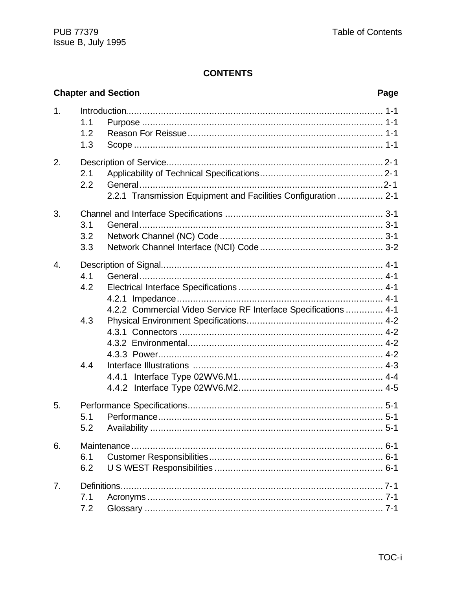# **CONTENTS**

|                  |            | <b>Chapter and Section</b>                                      | Page |
|------------------|------------|-----------------------------------------------------------------|------|
| 1.               | 1.1<br>1.2 |                                                                 |      |
|                  | 1.3        |                                                                 |      |
| 2.               |            |                                                                 |      |
|                  | 2.1        |                                                                 |      |
|                  | 2.2        |                                                                 |      |
|                  |            | 2.2.1 Transmission Equipment and Facilities Configuration  2-1  |      |
| 3.               |            |                                                                 |      |
|                  | 3.1        |                                                                 |      |
|                  | 3.2        |                                                                 |      |
|                  | 3.3        |                                                                 |      |
| $\overline{4}$ . |            |                                                                 |      |
|                  | 4.1        |                                                                 |      |
|                  | 4.2        |                                                                 |      |
|                  |            |                                                                 |      |
|                  |            | 4.2.2 Commercial Video Service RF Interface Specifications  4-1 |      |
|                  | 4.3        |                                                                 |      |
|                  |            |                                                                 |      |
|                  |            |                                                                 |      |
|                  |            |                                                                 |      |
|                  | 4.4        |                                                                 |      |
|                  |            | 4.4.1                                                           |      |
|                  |            |                                                                 |      |
| 5.               |            |                                                                 |      |
|                  | 5.1        |                                                                 |      |
|                  | 5.2        |                                                                 |      |
| 6.               |            |                                                                 |      |
|                  | 6.1        |                                                                 |      |
|                  | 6.2        |                                                                 |      |
| 7.               |            |                                                                 |      |
|                  | 7.1        |                                                                 |      |
|                  | 7.2        |                                                                 |      |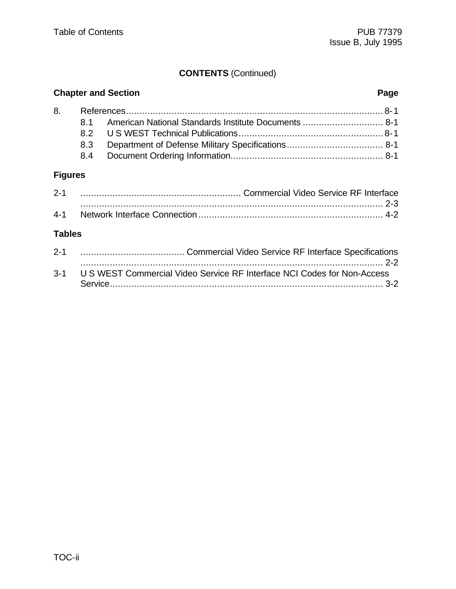# **CONTENTS** (Continued)

| <b>Chapter and Section</b> |     |                                                          |  |
|----------------------------|-----|----------------------------------------------------------|--|
|                            |     |                                                          |  |
|                            |     | 8.1 American National Standards Institute Documents  8-1 |  |
|                            |     |                                                          |  |
|                            | 8.3 |                                                          |  |
|                            |     |                                                          |  |

# **Figures**

| $2 - 1$ |  |
|---------|--|
|         |  |
| $4 - 1$ |  |

# **Tables**

| $2 - 1$ |                                                                             |
|---------|-----------------------------------------------------------------------------|
|         |                                                                             |
|         | 3-1 U S WEST Commercial Video Service RF Interface NCI Codes for Non-Access |
|         |                                                                             |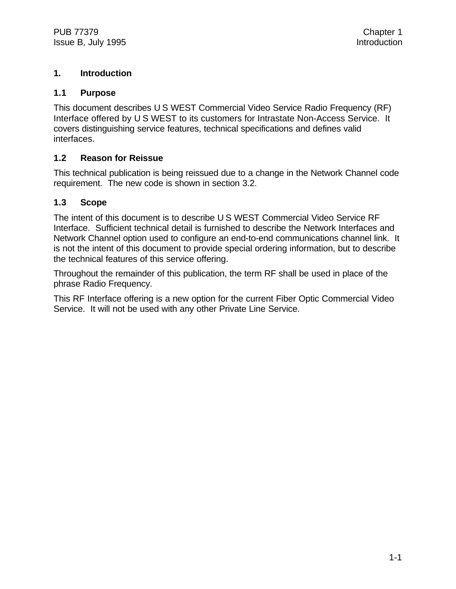### **1. Introduction**

#### **1.1 Purpose**

This document describes U S WEST Commercial Video Service Radio Frequency (RF) Interface offered by U S WEST to its customers for Intrastate Non-Access Service. It covers distinguishing service features, technical specifications and defines valid interfaces.

#### **1.2 Reason for Reissue**

This technical publication is being reissued due to a change in the Network Channel code requirement. The new code is shown in section 3.2.

#### **1.3 Scope**

The intent of this document is to describe U S WEST Commercial Video Service RF Interface. Sufficient technical detail is furnished to describe the Network Interfaces and Network Channel option used to configure an end-to-end communications channel link. It is not the intent of this document to provide special ordering information, but to describe the technical features of this service offering.

Throughout the remainder of this publication, the term RF shall be used in place of the phrase Radio Frequency.

This RF Interface offering is a new option for the current Fiber Optic Commercial Video Service. It will not be used with any other Private Line Service.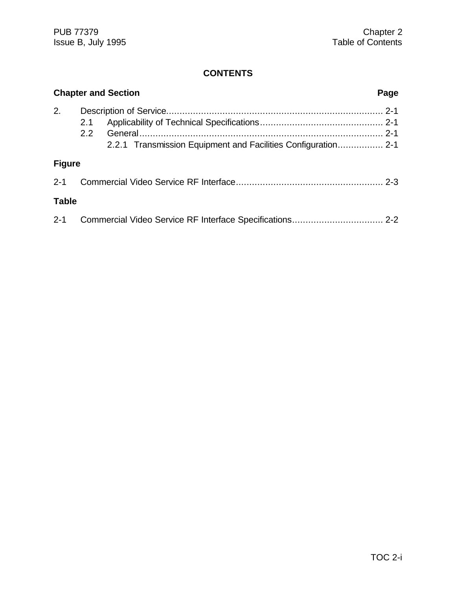# **CONTENTS**

|               | <b>Chapter and Section</b> | Page |
|---------------|----------------------------|------|
| 2.            | 2.1<br>2.2                 |      |
| <b>Figure</b> |                            |      |
| $2 - 1$       |                            |      |
| <b>Table</b>  |                            |      |
| $2 - 1$       |                            |      |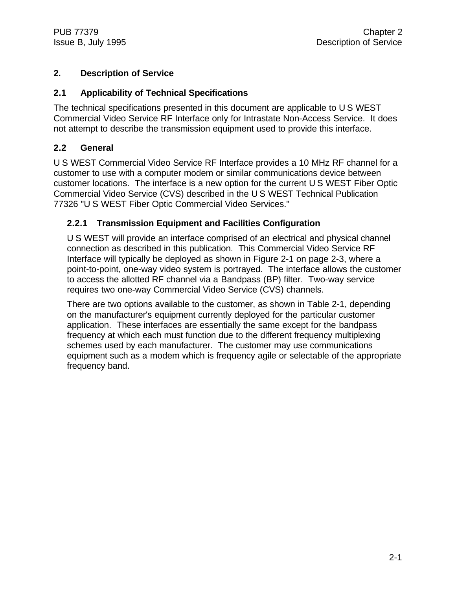# **2. Description of Service**

### **2.1 Applicability of Technical Specifications**

The technical specifications presented in this document are applicable to U S WEST Commercial Video Service RF Interface only for Intrastate Non-Access Service. It does not attempt to describe the transmission equipment used to provide this interface.

#### **2.2 General**

U S WEST Commercial Video Service RF Interface provides a 10 MHz RF channel for a customer to use with a computer modem or similar communications device between customer locations. The interface is a new option for the current U S WEST Fiber Optic Commercial Video Service (CVS) described in the U S WEST Technical Publication 77326 "U S WEST Fiber Optic Commercial Video Services."

#### **2.2.1 Transmission Equipment and Facilities Configuration**

U S WEST will provide an interface comprised of an electrical and physical channel connection as described in this publication. This Commercial Video Service RF Interface will typically be deployed as shown in Figure 2-1 on page 2-3, where a point-to-point, one-way video system is portrayed. The interface allows the customer to access the allotted RF channel via a Bandpass (BP) filter. Two-way service requires two one-way Commercial Video Service (CVS) channels.

There are two options available to the customer, as shown in Table 2-1, depending on the manufacturer's equipment currently deployed for the particular customer application. These interfaces are essentially the same except for the bandpass frequency at which each must function due to the different frequency multiplexing schemes used by each manufacturer. The customer may use communications equipment such as a modem which is frequency agile or selectable of the appropriate frequency band.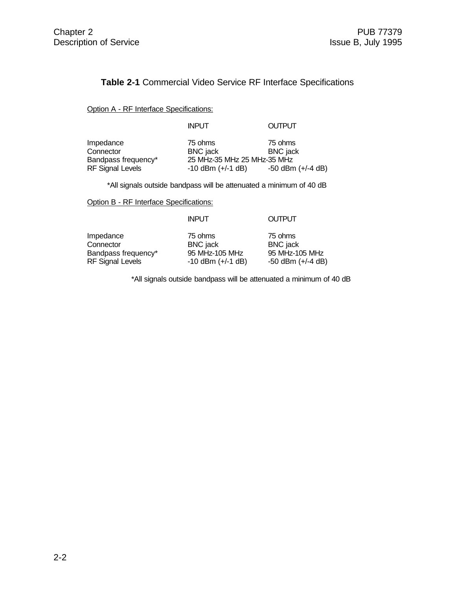#### **Table 2-1** Commercial Video Service RF Interface Specifications

Option A - RF Interface Specifications:

INPUT OUTPUT

Connector BNC jack<br>Bandpass frequency\* 25 MHz-35

Impedance 75 ohms 75 ohms 75 ohms<br>Connector BNC jack BNC jack Bandpass frequency\* 25 MHz-35 MHz 25 MHz-35 MHz<br>RF Signal Levels -10 dBm (+/-1 dB) -50 dBm (+/-4 dB) -10 dBm (+/-1 dB)

\*All signals outside bandpass will be attenuated a minimum of 40 dB

Option B - RF Interface Specifications:

| <b>INPUT</b>                                                                                                                                      |                                                                       |
|---------------------------------------------------------------------------------------------------------------------------------------------------|-----------------------------------------------------------------------|
| Impedance<br>75 ohms<br>Connector<br><b>BNC</b> jack<br>95 MHz-105 MHz<br>Bandpass frequency*<br><b>RF Signal Levels</b><br>$-10$ dBm $(+/-1$ dB) | 75 ohms<br><b>BNC</b> jack<br>95 MHz-105 MHz<br>$-50$ dBm $(+/-4$ dB) |

\*All signals outside bandpass will be attenuated a minimum of 40 dB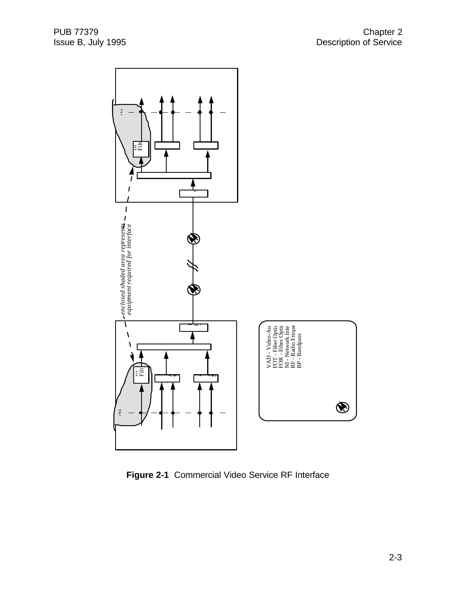

**Figure 2-1** Commercial Video Service RF Interface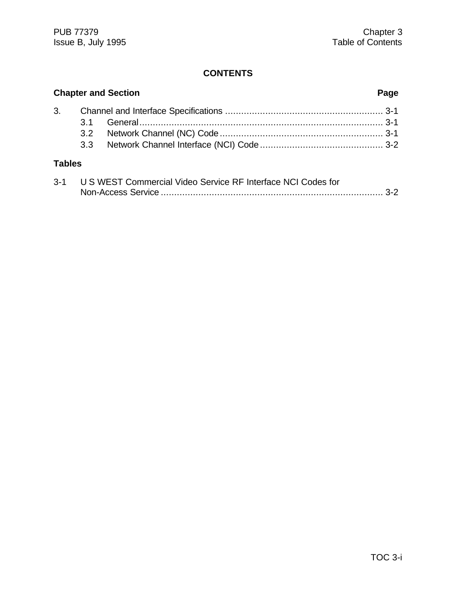# **CONTENTS**

| <b>Chapter and Section</b> |  |  |  |
|----------------------------|--|--|--|
|                            |  |  |  |
|                            |  |  |  |
|                            |  |  |  |
|                            |  |  |  |
| <b>Tables</b>              |  |  |  |

| $3 - 1$ | U S WEST Commercial Video Service RF Interface NCI Codes for |  |
|---------|--------------------------------------------------------------|--|
|         |                                                              |  |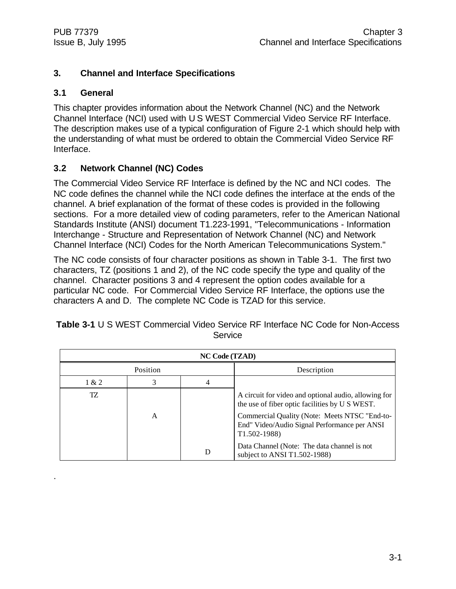# **3. Channel and Interface Specifications**

# **3.1 General**

.

This chapter provides information about the Network Channel (NC) and the Network Channel Interface (NCI) used with U S WEST Commercial Video Service RF Interface. The description makes use of a typical configuration of Figure 2-1 which should help with the understanding of what must be ordered to obtain the Commercial Video Service RF Interface.

# **3.2 Network Channel (NC) Codes**

The Commercial Video Service RF Interface is defined by the NC and NCI codes. The NC code defines the channel while the NCI code defines the interface at the ends of the channel. A brief explanation of the format of these codes is provided in the following sections. For a more detailed view of coding parameters, refer to the American National Standards Institute (ANSI) document T1.223-1991, "Telecommunications - Information Interchange - Structure and Representation of Network Channel (NC) and Network Channel Interface (NCI) Codes for the North American Telecommunications System."

The NC code consists of four character positions as shown in Table 3-1. The first two characters, TZ (positions 1 and 2), of the NC code specify the type and quality of the channel. Character positions 3 and 4 represent the option codes available for a particular NC code. For Commercial Video Service RF Interface, the options use the characters A and D. The complete NC Code is TZAD for this service.

| <b>NC Code (TZAD)</b> |   |  |                                                                                                                                                                                                                            |  |
|-----------------------|---|--|----------------------------------------------------------------------------------------------------------------------------------------------------------------------------------------------------------------------------|--|
| Position              |   |  | Description                                                                                                                                                                                                                |  |
| 1 & 2                 | 3 |  |                                                                                                                                                                                                                            |  |
| TZ                    | A |  | A circuit for video and optional audio, allowing for<br>the use of fiber optic facilities by U S WEST.<br>Commercial Quality (Note: Meets NTSC "End-to-<br>End" Video/Audio Signal Performance per ANSI<br>$T1.502 - 1988$ |  |
|                       |   |  | Data Channel (Note: The data channel is not<br>subject to ANSI T1.502-1988)                                                                                                                                                |  |

**Table 3-1** U S WEST Commercial Video Service RF Interface NC Code for Non-Access **Service**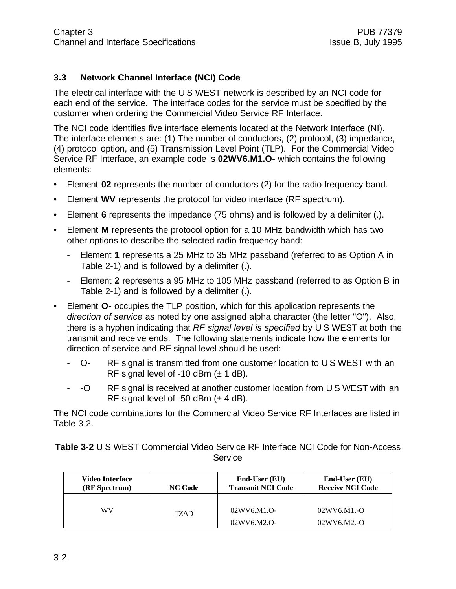# **3.3 Network Channel Interface (NCI) Code**

The electrical interface with the U S WEST network is described by an NCI code for each end of the service. The interface codes for the service must be specified by the customer when ordering the Commercial Video Service RF Interface.

The NCI code identifies five interface elements located at the Network Interface (NI). The interface elements are: (1) The number of conductors, (2) protocol, (3) impedance, (4) protocol option, and (5) Transmission Level Point (TLP). For the Commercial Video Service RF Interface, an example code is **02WV6.M1.O-** which contains the following elements:

- Element **02** represents the number of conductors (2) for the radio frequency band.
- Element **WV** represents the protocol for video interface (RF spectrum).
- Element **6** represents the impedance (75 ohms) and is followed by a delimiter (.).
- Element **M** represents the protocol option for a 10 MHz bandwidth which has two other options to describe the selected radio frequency band:
	- Element **1** represents a 25 MHz to 35 MHz passband (referred to as Option A in Table 2-1) and is followed by a delimiter (.).
	- Element **2** represents a 95 MHz to 105 MHz passband (referred to as Option B in Table 2-1) and is followed by a delimiter (.).
- Element **O-** occupies the TLP position, which for this application represents the *direction of service* as noted by one assigned alpha character (the letter "O"). Also, there is a hyphen indicating that *RF signal level is specified* by U S WEST at both the transmit and receive ends. The following statements indicate how the elements for direction of service and RF signal level should be used:
	- O- RF signal is transmitted from one customer location to U S WEST with an RF signal level of -10 dBm  $(\pm 1$  dB).
	- -O RF signal is received at another customer location from U S WEST with an RF signal level of -50 dBm  $(\pm 4$  dB).

The NCI code combinations for the Commercial Video Service RF Interfaces are listed in Table 3-2.

**Table 3-2** U S WEST Commercial Video Service RF Interface NCI Code for Non-Access **Service** 

| Video Interface<br>(RF Spectrum) | <b>NC Code</b> | End-User (EU)<br><b>Transmit NCI Code</b> | $End-User(EU)$<br><b>Receive NCI Code</b> |
|----------------------------------|----------------|-------------------------------------------|-------------------------------------------|
| WV                               | TZAD.          | 02WV6.M1.O-                               | $02WV6.M1.-O$                             |
|                                  |                | 02WV6.M2.O-                               | $02WV6.M2.-O$                             |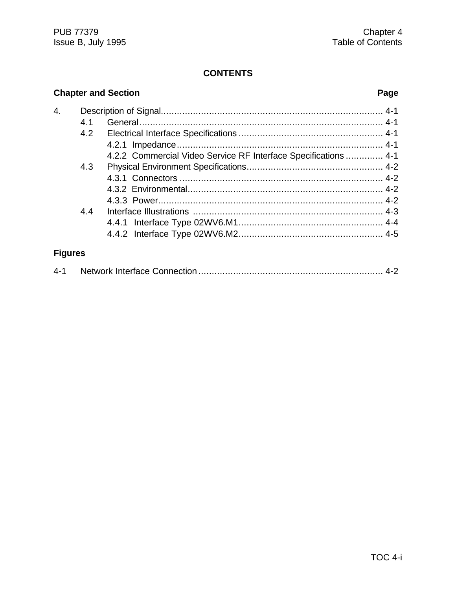#### **CONTENTS**

# **Chapter and Section Page** 4. Description of Signal................................................................................... 4-1 4.1 General........................................................................................... 4-1 4.2 Electrical Interface Specifications ...................................................... 4-1 4.2.1 Impedance............................................................................. 4-1 4.2.2 Commercial Video Service RF Interface Specifications .............. 4-1 4.3 Physical Environment Specifications................................................... 4-2 4.3.1 Connectors ............................................................................ 4-2 4.3.2 Environmental......................................................................... 4-2 4.3.3 Power.................................................................................... 4-2 4.4 Interface Illustrations ....................................................................... 4-3 4.4.1 Interface Type 02WV6.M1...................................................... 4-4 4.4.2 Interface Type 02WV6.M2...................................................... 4-5 **Figures**

| 4-1 |  |  |  |
|-----|--|--|--|
|-----|--|--|--|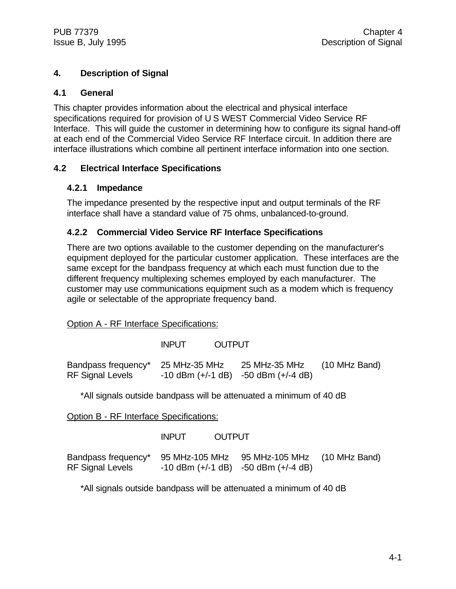# **4. Description of Signal**

#### **4.1 General**

This chapter provides information about the electrical and physical interface specifications required for provision of U S WEST Commercial Video Service RF Interface. This will guide the customer in determining how to configure its signal hand-off at each end of the Commercial Video Service RF Interface circuit. In addition there are interface illustrations which combine all pertinent interface information into one section.

# **4.2 Electrical Interface Specifications**

#### **4.2.1 Impedance**

The impedance presented by the respective input and output terminals of the RF interface shall have a standard value of 75 ohms, unbalanced-to-ground.

# **4.2.2 Commercial Video Service RF Interface Specifications**

There are two options available to the customer depending on the manufacturer's equipment deployed for the particular customer application. These interfaces are the same except for the bandpass frequency at which each must function due to the different frequency multiplexing schemes employed by each manufacturer. The customer may use communications equipment such as a modem which is frequency agile or selectable of the appropriate frequency band.

Option A - RF Interface Specifications:

INPUT OUTPUT

Bandpass frequency\* 25 MHz-35 MHz 25 MHz-35 MHz (10 MHz Band) RF Signal Levels  $-10$  dBm  $(+/-1$  dB)  $-50$  dBm  $(+/-4$  dB)

\*All signals outside bandpass will be attenuated a minimum of 40 dB

Option B - RF Interface Specifications:

INPUT OUTPUT

Bandpass frequency\* 95 MHz-105 MHz 95 MHz-105 MHz (10 MHz Band)  $RF$  Signal Levels  $-10$  dBm  $(+/-1$  dB)  $-50$  dBm  $(+/-4$  dB)

\*All signals outside bandpass will be attenuated a minimum of 40 dB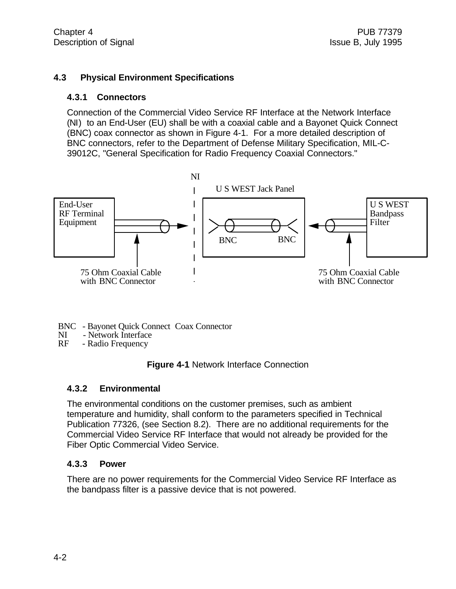#### **4.3 Physical Environment Specifications**

#### **4.3.1 Connectors**

Connection of the Commercial Video Service RF Interface at the Network Interface (NI) to an End-User (EU) shall be with a coaxial cable and a Bayonet Quick Connect (BNC) coax connector as shown in Figure 4-1. For a more detailed description of BNC connectors, refer to the Department of Defense Military Specification, MIL-C-39012C, "General Specification for Radio Frequency Coaxial Connectors."



- BNC Bayonet Quick Connect Coax Connector<br>NI Network Interface
- Network Interface
- RF Radio Frequency



#### **4.3.2 Environmental**

The environmental conditions on the customer premises, such as ambient temperature and humidity, shall conform to the parameters specified in Technical Publication 77326, (see Section 8.2). There are no additional requirements for the Commercial Video Service RF Interface that would not already be provided for the Fiber Optic Commercial Video Service.

#### **4.3.3 Power**

There are no power requirements for the Commercial Video Service RF Interface as the bandpass filter is a passive device that is not powered.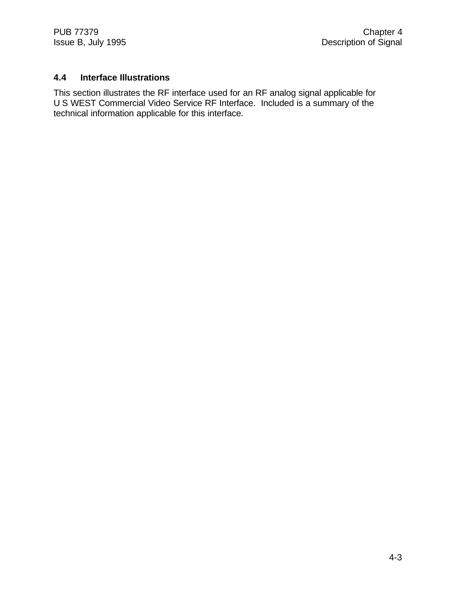# **4.4 Interface Illustrations**

This section illustrates the RF interface used for an RF analog signal applicable for U S WEST Commercial Video Service RF Interface. Included is a summary of the technical information applicable for this interface.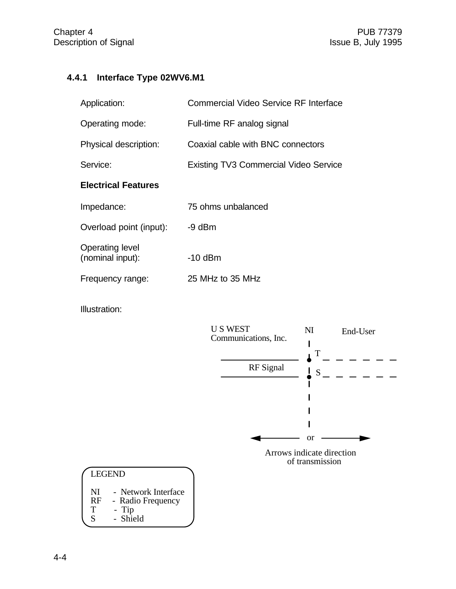# **4.4.1 Interface Type 02WV6.M1**

| Application:                               | Commercial Video Service RF Interface        |  |  |
|--------------------------------------------|----------------------------------------------|--|--|
| Operating mode:                            | Full-time RF analog signal                   |  |  |
| Physical description:                      | Coaxial cable with BNC connectors            |  |  |
| Service:                                   | <b>Existing TV3 Commercial Video Service</b> |  |  |
| <b>Electrical Features</b>                 |                                              |  |  |
| Impedance:                                 | 75 ohms unbalanced                           |  |  |
| Overload point (input):                    | $-9$ dBm                                     |  |  |
| <b>Operating level</b><br>(nominal input): | $-10$ dBm                                    |  |  |
| Frequency range:                           | 25 MHz to 35 MHz                             |  |  |

Illustration:



| <b>LEGEND</b> |                     |  |  |  |
|---------------|---------------------|--|--|--|
| NI            | - Network Interface |  |  |  |
| RF            | - Radio Frequency   |  |  |  |
| т             | - Tip               |  |  |  |
| S             | - Shield            |  |  |  |

4-4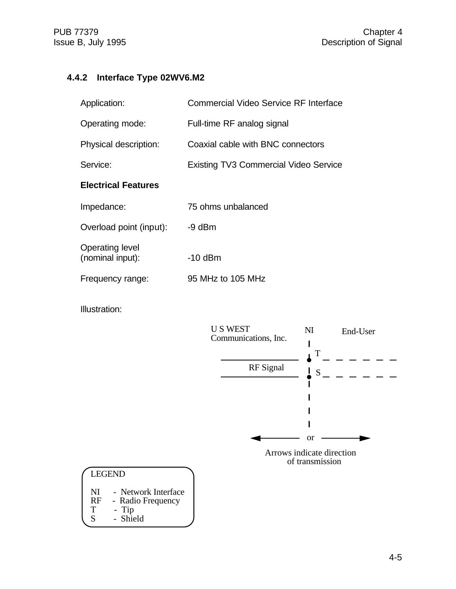# **4.4.2 Interface Type 02WV6.M2**

| Application:                               | Commercial Video Service RF Interface        |  |  |
|--------------------------------------------|----------------------------------------------|--|--|
| Operating mode:                            | Full-time RF analog signal                   |  |  |
| Physical description:                      | Coaxial cable with BNC connectors            |  |  |
| Service:                                   | <b>Existing TV3 Commercial Video Service</b> |  |  |
| <b>Electrical Features</b>                 |                                              |  |  |
| Impedance:                                 | 75 ohms unbalanced                           |  |  |
| Overload point (input):                    | $-9$ dBm                                     |  |  |
| <b>Operating level</b><br>(nominal input): | -10 dBm                                      |  |  |
| Frequency range:                           | 95 MHz to 105 MHz                            |  |  |

Illustration:



| LEGEND    |                     |  |  |  |
|-----------|---------------------|--|--|--|
| NI        | - Network Interface |  |  |  |
| <b>RF</b> | - Radio Frequency   |  |  |  |

T - Tip S - Shield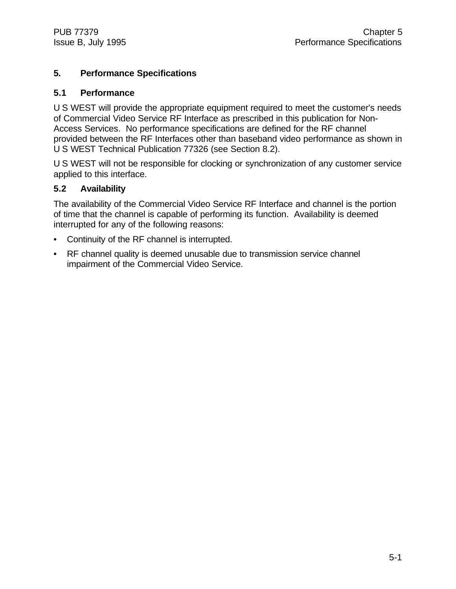# **5. Performance Specifications**

#### **5.1 Performance**

U S WEST will provide the appropriate equipment required to meet the customer's needs of Commercial Video Service RF Interface as prescribed in this publication for Non-Access Services. No performance specifications are defined for the RF channel provided between the RF Interfaces other than baseband video performance as shown in U S WEST Technical Publication 77326 (see Section 8.2).

U S WEST will not be responsible for clocking or synchronization of any customer service applied to this interface.

# **5.2 Availability**

The availability of the Commercial Video Service RF Interface and channel is the portion of time that the channel is capable of performing its function. Availability is deemed interrupted for any of the following reasons:

- Continuity of the RF channel is interrupted.
- RF channel quality is deemed unusable due to transmission service channel impairment of the Commercial Video Service.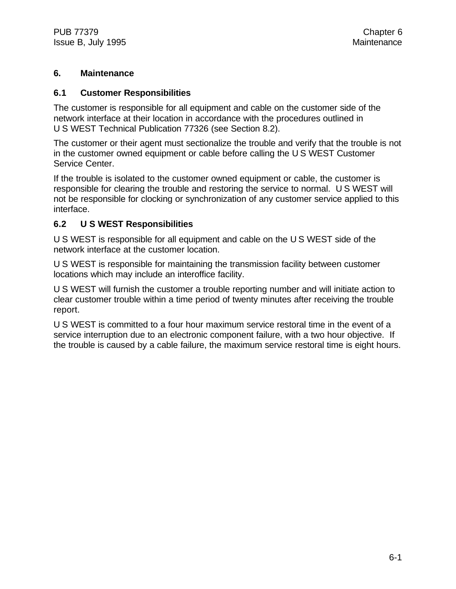### **6. Maintenance**

#### **6.1 Customer Responsibilities**

The customer is responsible for all equipment and cable on the customer side of the network interface at their location in accordance with the procedures outlined in U S WEST Technical Publication 77326 (see Section 8.2).

The customer or their agent must sectionalize the trouble and verify that the trouble is not in the customer owned equipment or cable before calling the U S WEST Customer Service Center.

If the trouble is isolated to the customer owned equipment or cable, the customer is responsible for clearing the trouble and restoring the service to normal. U S WEST will not be responsible for clocking or synchronization of any customer service applied to this interface.

#### **6.2 U S WEST Responsibilities**

U S WEST is responsible for all equipment and cable on the U S WEST side of the network interface at the customer location.

U S WEST is responsible for maintaining the transmission facility between customer locations which may include an interoffice facility.

U S WEST will furnish the customer a trouble reporting number and will initiate action to clear customer trouble within a time period of twenty minutes after receiving the trouble report.

U S WEST is committed to a four hour maximum service restoral time in the event of a service interruption due to an electronic component failure, with a two hour objective. If the trouble is caused by a cable failure, the maximum service restoral time is eight hours.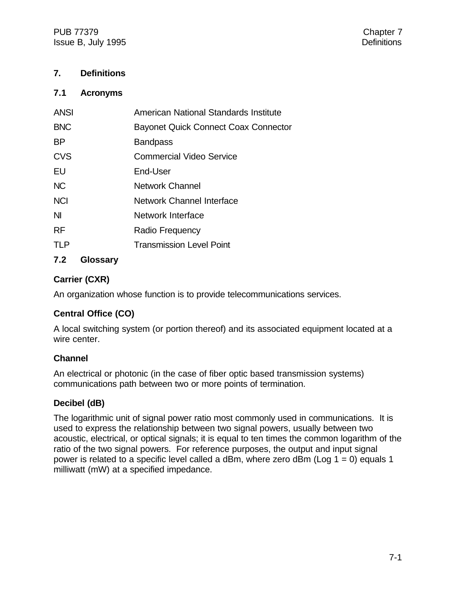PUB 77379 Chapter 7 Issue B, July 1995 **Definitions** 

### **7. Definitions**

#### **7.1 Acronyms**

| <b>ANSI</b> | American National Standards Institute       |
|-------------|---------------------------------------------|
| <b>BNC</b>  | <b>Bayonet Quick Connect Coax Connector</b> |
| <b>BP</b>   | <b>Bandpass</b>                             |
| <b>CVS</b>  | <b>Commercial Video Service</b>             |
| EU          | End-User                                    |
| <b>NC</b>   | <b>Network Channel</b>                      |
| <b>NCI</b>  | <b>Network Channel Interface</b>            |
| <b>NI</b>   | Network Interface                           |
| <b>RF</b>   | Radio Frequency                             |
| <b>TLP</b>  | <b>Transmission Level Point</b>             |
|             |                                             |

# **7.2 Glossary**

# **Carrier (CXR)**

An organization whose function is to provide telecommunications services.

# **Central Office (CO)**

A local switching system (or portion thereof) and its associated equipment located at a wire center.

#### **Channel**

An electrical or photonic (in the case of fiber optic based transmission systems) communications path between two or more points of termination.

# **Decibel (dB)**

The logarithmic unit of signal power ratio most commonly used in communications. It is used to express the relationship between two signal powers, usually between two acoustic, electrical, or optical signals; it is equal to ten times the common logarithm of the ratio of the two signal powers. For reference purposes, the output and input signal power is related to a specific level called a dBm, where zero dBm (Log  $1 = 0$ ) equals 1 milliwatt (mW) at a specified impedance.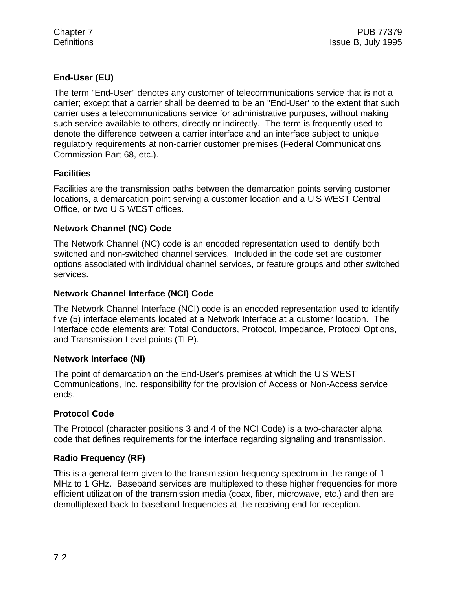# **End-User (EU)**

The term "End-User" denotes any customer of telecommunications service that is not a carrier; except that a carrier shall be deemed to be an "End-User' to the extent that such carrier uses a telecommunications service for administrative purposes, without making such service available to others, directly or indirectly. The term is frequently used to denote the difference between a carrier interface and an interface subject to unique regulatory requirements at non-carrier customer premises (Federal Communications Commission Part 68, etc.).

#### **Facilities**

Facilities are the transmission paths between the demarcation points serving customer locations, a demarcation point serving a customer location and a U S WEST Central Office, or two U S WEST offices.

# **Network Channel (NC) Code**

The Network Channel (NC) code is an encoded representation used to identify both switched and non-switched channel services. Included in the code set are customer options associated with individual channel services, or feature groups and other switched services.

#### **Network Channel Interface (NCI) Code**

The Network Channel Interface (NCI) code is an encoded representation used to identify five (5) interface elements located at a Network Interface at a customer location. The Interface code elements are: Total Conductors, Protocol, Impedance, Protocol Options, and Transmission Level points (TLP).

#### **Network Interface (NI)**

The point of demarcation on the End-User's premises at which the U S WEST Communications, Inc. responsibility for the provision of Access or Non-Access service ends.

# **Protocol Code**

The Protocol (character positions 3 and 4 of the NCI Code) is a two-character alpha code that defines requirements for the interface regarding signaling and transmission.

# **Radio Frequency (RF)**

This is a general term given to the transmission frequency spectrum in the range of 1 MHz to 1 GHz. Baseband services are multiplexed to these higher frequencies for more efficient utilization of the transmission media (coax, fiber, microwave, etc.) and then are demultiplexed back to baseband frequencies at the receiving end for reception.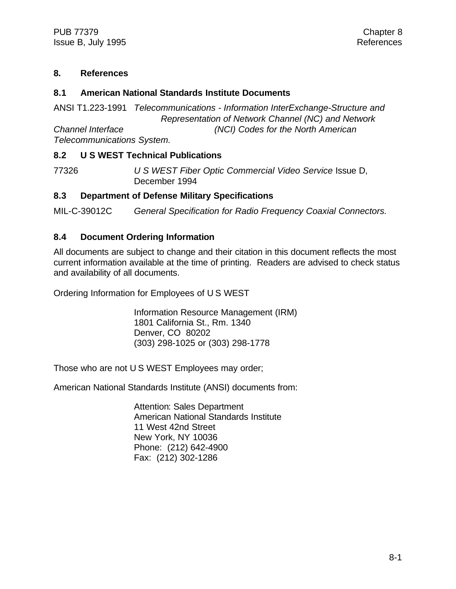#### **8. References**

#### **8.1 American National Standards Institute Documents**

ANSI T1.223-1991 *Telecommunications - Information InterExchange-Structure and Representation of Network Channel (NC) and Network Channel Interface (NCI) Codes for the North American Telecommunications System.*

#### **8.2 U S WEST Technical Publications**

77326 *U S WEST Fiber Optic Commercial Video Service* Issue D, December 1994

#### **8.3 Department of Defense Military Specifications**

MIL-C-39012C *General Specification for Radio Frequency Coaxial Connectors.*

#### **8.4 Document Ordering Information**

All documents are subject to change and their citation in this document reflects the most current information available at the time of printing. Readers are advised to check status and availability of all documents.

Ordering Information for Employees of U S WEST

Information Resource Management (IRM) 1801 California St., Rm. 1340 Denver, CO 80202 (303) 298-1025 or (303) 298-1778

Those who are not U S WEST Employees may order;

American National Standards Institute (ANSI) documents from:

Attention: Sales Department American National Standards Institute 11 West 42nd Street New York, NY 10036 Phone: (212) 642-4900 Fax: (212) 302-1286